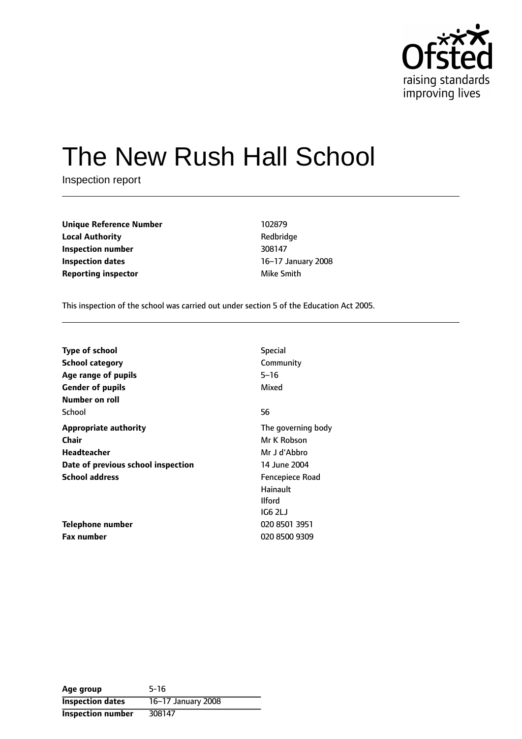

# The New Rush Hall School

Inspection report

**Unique Reference Number** 102879 **Local Authority Contract Contract Authority Redbridge Inspection number** 308147 **Inspection dates** 16-17 January 2008 **Reporting inspector and a structure of the Smith** Mike Smith

This inspection of the school was carried out under section 5 of the Education Act 2005.

| <b>Type of school</b>              | <b>Special</b>     |
|------------------------------------|--------------------|
| <b>School category</b>             | Community          |
| Age range of pupils                | $5 - 16$           |
| <b>Gender of pupils</b>            | Mixed              |
| Number on roll                     |                    |
| School                             | 56                 |
| <b>Appropriate authority</b>       | The governing body |
| <b>Chair</b>                       | Mr K Robson        |
| Headteacher                        | Mr J d'Abbro       |
| Date of previous school inspection | 14 June 2004       |
| <b>School address</b>              | Fencepiece Road    |
|                                    | Hainault           |
|                                    | <b>Ilford</b>      |
|                                    | IG6 2LJ            |
| Telephone number                   | 020 8501 3951      |
| <b>Fax number</b>                  | 020 8500 9309      |

| Age group                | $5-16$             |
|--------------------------|--------------------|
| <b>Inspection dates</b>  | 16-17 January 2008 |
| <b>Inspection number</b> | 308147             |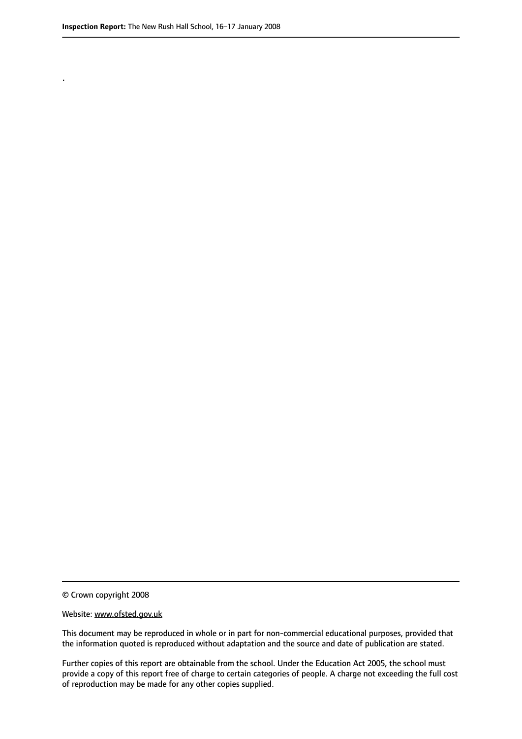.

© Crown copyright 2008

#### Website: www.ofsted.gov.uk

This document may be reproduced in whole or in part for non-commercial educational purposes, provided that the information quoted is reproduced without adaptation and the source and date of publication are stated.

Further copies of this report are obtainable from the school. Under the Education Act 2005, the school must provide a copy of this report free of charge to certain categories of people. A charge not exceeding the full cost of reproduction may be made for any other copies supplied.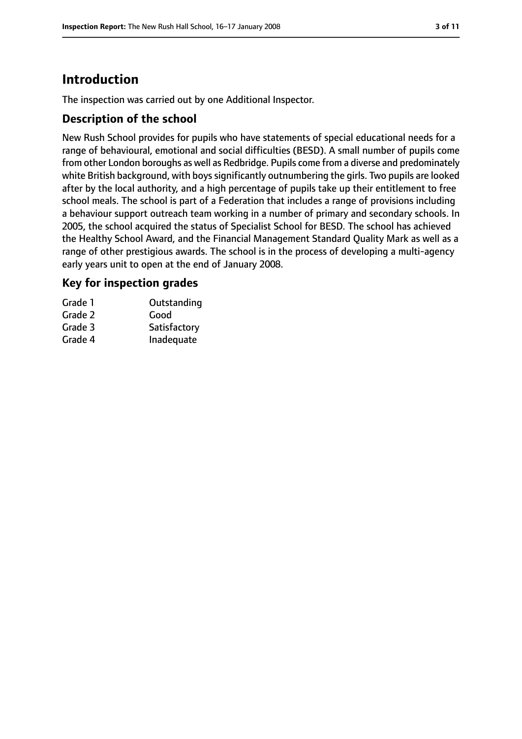# **Introduction**

The inspection was carried out by one Additional Inspector.

## **Description of the school**

New Rush School provides for pupils who have statements of special educational needs for a range of behavioural, emotional and social difficulties (BESD). A small number of pupils come from other London boroughs as well as Redbridge. Pupils come from a diverse and predominately white British background, with boys significantly outnumbering the girls. Two pupils are looked after by the local authority, and a high percentage of pupils take up their entitlement to free school meals. The school is part of a Federation that includes a range of provisions including a behaviour support outreach team working in a number of primary and secondary schools. In 2005, the school acquired the status of Specialist School for BESD. The school has achieved the Healthy School Award, and the Financial Management Standard Quality Mark as well as a range of other prestigious awards. The school is in the process of developing a multi-agency early years unit to open at the end of January 2008.

## **Key for inspection grades**

| Grade 1 | Outstanding  |
|---------|--------------|
| Grade 2 | Good         |
| Grade 3 | Satisfactory |
| Grade 4 | Inadequate   |
|         |              |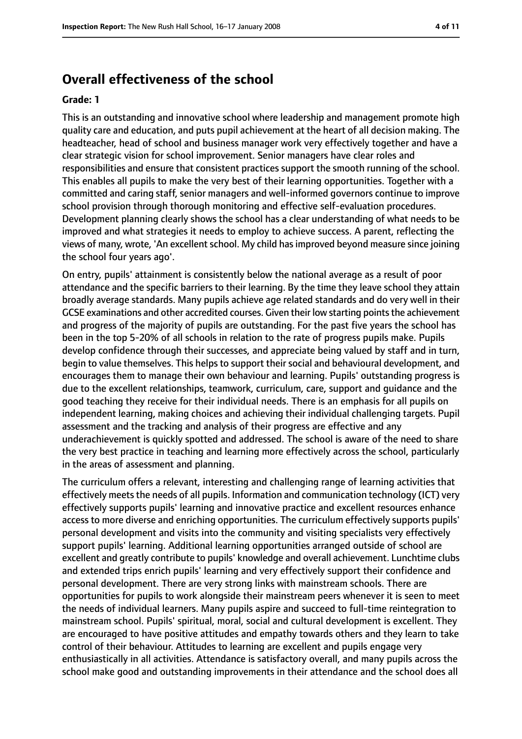# **Overall effectiveness of the school**

#### **Grade: 1**

This is an outstanding and innovative school where leadership and management promote high quality care and education, and puts pupil achievement at the heart of all decision making. The headteacher, head of school and business manager work very effectively together and have a clear strategic vision for school improvement. Senior managers have clear roles and responsibilities and ensure that consistent practices support the smooth running of the school. This enables all pupils to make the very best of their learning opportunities. Together with a committed and caring staff, senior managers and well-informed governors continue to improve school provision through thorough monitoring and effective self-evaluation procedures. Development planning clearly shows the school has a clear understanding of what needs to be improved and what strategies it needs to employ to achieve success. A parent, reflecting the views of many, wrote, 'An excellent school. My child has improved beyond measure since joining the school four years ago'.

On entry, pupils' attainment is consistently below the national average as a result of poor attendance and the specific barriers to their learning. By the time they leave school they attain broadly average standards. Many pupils achieve age related standards and do very well in their GCSE examinations and other accredited courses. Given their low starting points the achievement and progress of the majority of pupils are outstanding. For the past five years the school has been in the top 5-20% of all schools in relation to the rate of progress pupils make. Pupils develop confidence through their successes, and appreciate being valued by staff and in turn, begin to value themselves. This helps to support their social and behavioural development, and encourages them to manage their own behaviour and learning. Pupils' outstanding progress is due to the excellent relationships, teamwork, curriculum, care, support and guidance and the good teaching they receive for their individual needs. There is an emphasis for all pupils on independent learning, making choices and achieving their individual challenging targets. Pupil assessment and the tracking and analysis of their progress are effective and any underachievement is quickly spotted and addressed. The school is aware of the need to share the very best practice in teaching and learning more effectively across the school, particularly in the areas of assessment and planning.

The curriculum offers a relevant, interesting and challenging range of learning activities that effectively meets the needs of all pupils. Information and communication technology (ICT) very effectively supports pupils' learning and innovative practice and excellent resources enhance access to more diverse and enriching opportunities. The curriculum effectively supports pupils' personal development and visits into the community and visiting specialists very effectively support pupils' learning. Additional learning opportunities arranged outside of school are excellent and greatly contribute to pupils' knowledge and overall achievement. Lunchtime clubs and extended trips enrich pupils' learning and very effectively support their confidence and personal development. There are very strong links with mainstream schools. There are opportunities for pupils to work alongside their mainstream peers whenever it is seen to meet the needs of individual learners. Many pupils aspire and succeed to full-time reintegration to mainstream school. Pupils' spiritual, moral, social and cultural development is excellent. They are encouraged to have positive attitudes and empathy towards others and they learn to take control of their behaviour. Attitudes to learning are excellent and pupils engage very enthusiastically in all activities. Attendance is satisfactory overall, and many pupils across the school make good and outstanding improvements in their attendance and the school does all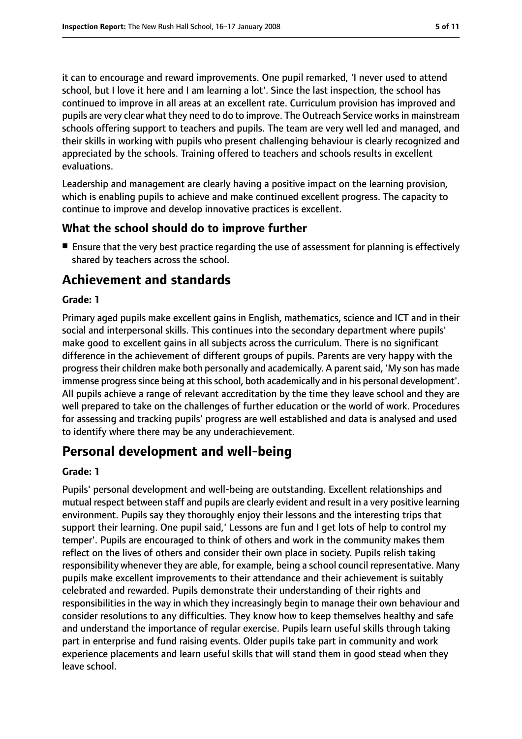it can to encourage and reward improvements. One pupil remarked, 'I never used to attend school, but I love it here and I am learning a lot'. Since the last inspection, the school has continued to improve in all areas at an excellent rate. Curriculum provision has improved and pupils are very clear what they need to do to improve. The Outreach Service works in mainstream schools offering support to teachers and pupils. The team are very well led and managed, and their skills in working with pupils who present challenging behaviour is clearly recognized and appreciated by the schools. Training offered to teachers and schools results in excellent evaluations.

Leadership and management are clearly having a positive impact on the learning provision, which is enabling pupils to achieve and make continued excellent progress. The capacity to continue to improve and develop innovative practices is excellent.

#### **What the school should do to improve further**

■ Ensure that the very best practice regarding the use of assessment for planning is effectively shared by teachers across the school.

# **Achievement and standards**

#### **Grade: 1**

Primary aged pupils make excellent gains in English, mathematics, science and ICT and in their social and interpersonal skills. This continues into the secondary department where pupils' make good to excellent gains in all subjects across the curriculum. There is no significant difference in the achievement of different groups of pupils. Parents are very happy with the progresstheir children make both personally and academically. A parentsaid, 'My son has made immense progress since being at this school, both academically and in his personal development'. All pupils achieve a range of relevant accreditation by the time they leave school and they are well prepared to take on the challenges of further education or the world of work. Procedures for assessing and tracking pupils' progress are well established and data is analysed and used to identify where there may be any underachievement.

# **Personal development and well-being**

#### **Grade: 1**

Pupils' personal development and well-being are outstanding. Excellent relationships and mutual respect between staff and pupils are clearly evident and result in a very positive learning environment. Pupils say they thoroughly enjoy their lessons and the interesting trips that support their learning. One pupil said,' Lessons are fun and I get lots of help to control my temper'. Pupils are encouraged to think of others and work in the community makes them reflect on the lives of others and consider their own place in society. Pupils relish taking responsibility whenever they are able, for example, being a school council representative. Many pupils make excellent improvements to their attendance and their achievement is suitably celebrated and rewarded. Pupils demonstrate their understanding of their rights and responsibilities in the way in which they increasingly begin to manage their own behaviour and consider resolutions to any difficulties. They know how to keep themselves healthy and safe and understand the importance of regular exercise. Pupils learn useful skills through taking part in enterprise and fund raising events. Older pupils take part in community and work experience placements and learn useful skills that will stand them in good stead when they leave school.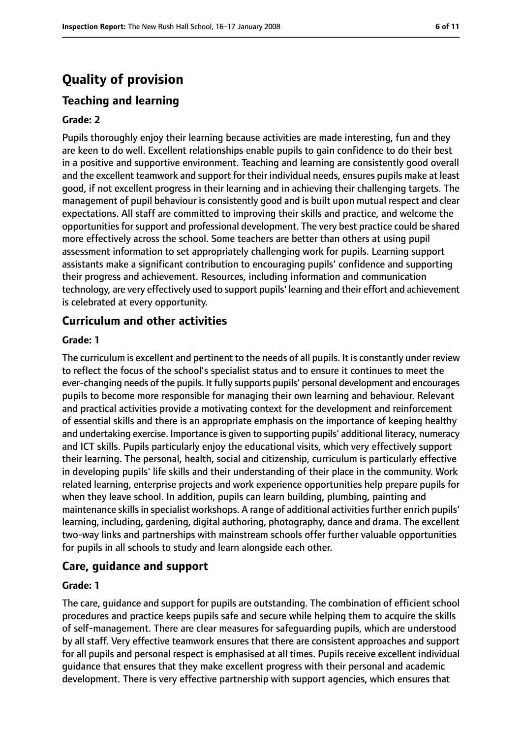# **Quality of provision**

# **Teaching and learning**

#### **Grade: 2**

Pupils thoroughly enjoy their learning because activities are made interesting, fun and they are keen to do well. Excellent relationships enable pupils to gain confidence to do their best in a positive and supportive environment. Teaching and learning are consistently good overall and the excellent teamwork and support for their individual needs, ensures pupils make at least good, if not excellent progress in their learning and in achieving their challenging targets. The management of pupil behaviour is consistently good and is built upon mutual respect and clear expectations. All staff are committed to improving their skills and practice, and welcome the opportunities for support and professional development. The very best practice could be shared more effectively across the school. Some teachers are better than others at using pupil assessment information to set appropriately challenging work for pupils. Learning support assistants make a significant contribution to encouraging pupils' confidence and supporting their progress and achievement. Resources, including information and communication technology, are very effectively used to support pupils' learning and their effort and achievement is celebrated at every opportunity.

### **Curriculum and other activities**

#### **Grade: 1**

The curriculum is excellent and pertinent to the needs of all pupils. It is constantly under review to reflect the focus of the school's specialist status and to ensure it continues to meet the ever-changing needs of the pupils. It fully supports pupils' personal development and encourages pupils to become more responsible for managing their own learning and behaviour. Relevant and practical activities provide a motivating context for the development and reinforcement of essential skills and there is an appropriate emphasis on the importance of keeping healthy and undertaking exercise. Importance is given to supporting pupils' additional literacy, numeracy and ICT skills. Pupils particularly enjoy the educational visits, which very effectively support their learning. The personal, health, social and citizenship, curriculum is particularly effective in developing pupils' life skills and their understanding of their place in the community. Work related learning, enterprise projects and work experience opportunities help prepare pupils for when they leave school. In addition, pupils can learn building, plumbing, painting and maintenance skills in specialist workshops. A range of additional activities further enrich pupils' learning, including, gardening, digital authoring, photography, dance and drama. The excellent two-way links and partnerships with mainstream schools offer further valuable opportunities for pupils in all schools to study and learn alongside each other.

#### **Care, guidance and support**

#### **Grade: 1**

The care, guidance and support for pupils are outstanding. The combination of efficient school procedures and practice keeps pupils safe and secure while helping them to acquire the skills of self-management. There are clear measures for safeguarding pupils, which are understood by all staff. Very effective teamwork ensures that there are consistent approaches and support for all pupils and personal respect is emphasised at all times. Pupils receive excellent individual guidance that ensures that they make excellent progress with their personal and academic development. There is very effective partnership with support agencies, which ensures that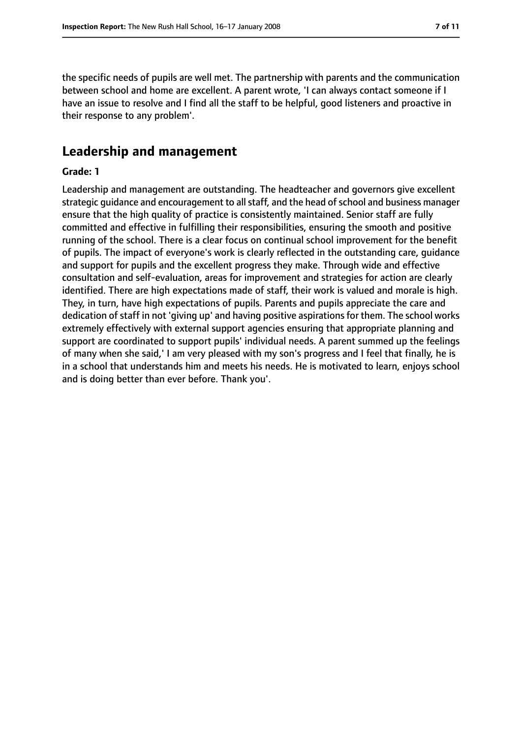the specific needs of pupils are well met. The partnership with parents and the communication between school and home are excellent. A parent wrote, 'I can always contact someone if I have an issue to resolve and I find all the staff to be helpful, good listeners and proactive in their response to any problem'.

# **Leadership and management**

#### **Grade: 1**

Leadership and management are outstanding. The headteacher and governors give excellent strategic guidance and encouragement to all staff, and the head of school and business manager ensure that the high quality of practice is consistently maintained. Senior staff are fully committed and effective in fulfilling their responsibilities, ensuring the smooth and positive running of the school. There is a clear focus on continual school improvement for the benefit of pupils. The impact of everyone's work is clearly reflected in the outstanding care, guidance and support for pupils and the excellent progress they make. Through wide and effective consultation and self-evaluation, areas for improvement and strategies for action are clearly identified. There are high expectations made of staff, their work is valued and morale is high. They, in turn, have high expectations of pupils. Parents and pupils appreciate the care and dedication of staff in not 'giving up' and having positive aspirations for them. The school works extremely effectively with external support agencies ensuring that appropriate planning and support are coordinated to support pupils' individual needs. A parent summed up the feelings of many when she said,' I am very pleased with my son's progress and I feel that finally, he is in a school that understands him and meets his needs. He is motivated to learn, enjoys school and is doing better than ever before. Thank you'.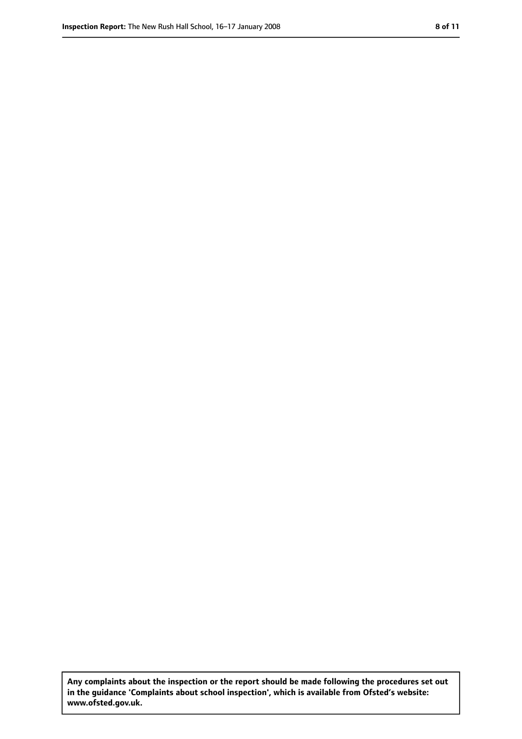**Any complaints about the inspection or the report should be made following the procedures set out in the guidance 'Complaints about school inspection', which is available from Ofsted's website: www.ofsted.gov.uk.**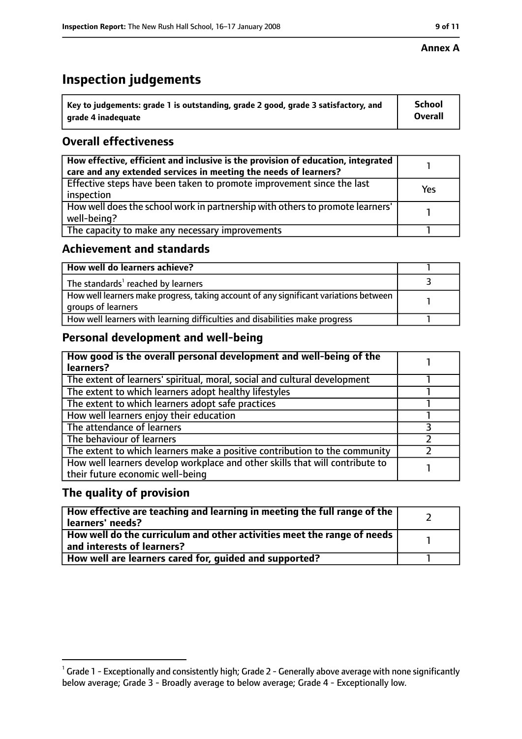#### **Annex A**

# **Inspection judgements**

| Key to judgements: grade 1 is outstanding, grade 2 good, grade 3 satisfactory, and | <b>School</b>  |
|------------------------------------------------------------------------------------|----------------|
| grade 4 inadequate                                                                 | <b>Overall</b> |

# **Overall effectiveness**

| How effective, efficient and inclusive is the provision of education, integrated<br>care and any extended services in meeting the needs of learners? |     |
|------------------------------------------------------------------------------------------------------------------------------------------------------|-----|
| Effective steps have been taken to promote improvement since the last<br>inspection                                                                  | Yes |
| How well does the school work in partnership with others to promote learners'<br>well-being?                                                         |     |
| The capacity to make any necessary improvements                                                                                                      |     |

## **Achievement and standards**

| How well do learners achieve?                                                                               |  |
|-------------------------------------------------------------------------------------------------------------|--|
| The standards <sup>1</sup> reached by learners                                                              |  |
| How well learners make progress, taking account of any significant variations between<br>groups of learners |  |
| How well learners with learning difficulties and disabilities make progress                                 |  |

# **Personal development and well-being**

| How good is the overall personal development and well-being of the<br>learners?                                  |  |
|------------------------------------------------------------------------------------------------------------------|--|
| The extent of learners' spiritual, moral, social and cultural development                                        |  |
| The extent to which learners adopt healthy lifestyles                                                            |  |
| The extent to which learners adopt safe practices                                                                |  |
| How well learners enjoy their education                                                                          |  |
| The attendance of learners                                                                                       |  |
| The behaviour of learners                                                                                        |  |
| The extent to which learners make a positive contribution to the community                                       |  |
| How well learners develop workplace and other skills that will contribute to<br>their future economic well-being |  |

## **The quality of provision**

| $\mid$ How effective are teaching and learning in meeting the full range of the $\mid$<br>learners' needs? |  |
|------------------------------------------------------------------------------------------------------------|--|
| How well do the curriculum and other activities meet the range of needs  <br>and interests of learners?    |  |
| How well are learners cared for, guided and supported?                                                     |  |

 $^1$  Grade 1 - Exceptionally and consistently high; Grade 2 - Generally above average with none significantly below average; Grade 3 - Broadly average to below average; Grade 4 - Exceptionally low.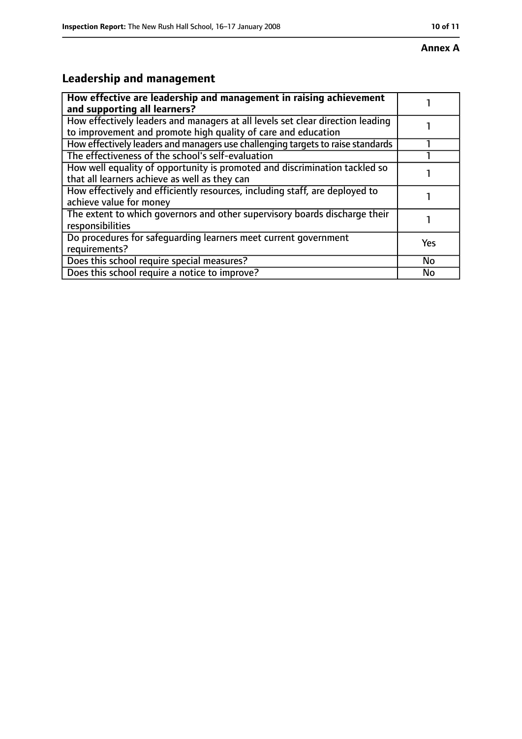# **Leadership and management**

| How effective are leadership and management in raising achievement<br>and supporting all learners?                                              |     |
|-------------------------------------------------------------------------------------------------------------------------------------------------|-----|
| How effectively leaders and managers at all levels set clear direction leading<br>to improvement and promote high quality of care and education |     |
| How effectively leaders and managers use challenging targets to raise standards                                                                 |     |
| The effectiveness of the school's self-evaluation                                                                                               |     |
| How well equality of opportunity is promoted and discrimination tackled so<br>that all learners achieve as well as they can                     |     |
| How effectively and efficiently resources, including staff, are deployed to<br>achieve value for money                                          |     |
| The extent to which governors and other supervisory boards discharge their<br>responsibilities                                                  |     |
| Do procedures for safequarding learners meet current government<br>requirements?                                                                | Yes |
| Does this school require special measures?                                                                                                      | No  |
| Does this school require a notice to improve?                                                                                                   | No  |